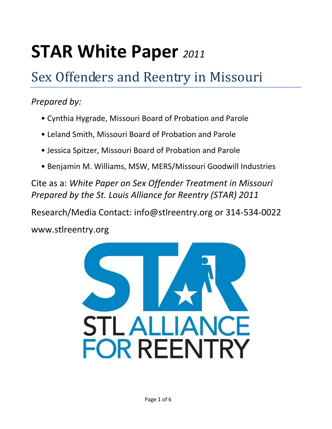# **STAR White Paper** *<sup>2011</sup>*

# Sex Offenders and Reentry in Missouri

### *Prepared by:*

- Cynthia Hygrade, Missouri Board of Probation and Parole
- Leland Smith, Missouri Board of Probation and Parole
- Jessica Spitzer, Missouri Board of Probation and Parole
- Benjamin M. Williams, MSW, MERS/Missouri Goodwill Industries

Cite as a: *White Paper on Sex Offender Treatment in Missouri Prepared by the St. Louis Alliance for Reentry (STAR) 2011* 

Research/Media Contact: info@stlreentry.org or 314-534-0022 www.stlreentry.org

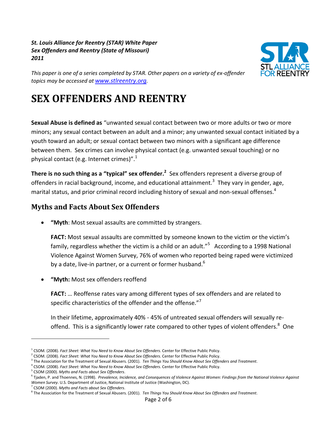*St. Louis Alliance for Reentry (STAR) White Paper Sex Offenders and Reentry (State of Missouri) 2011*



*This paper is one of a series completed by STAR. Other papers on a variety of ex-offender topics may be accessed at [www.stlreentry.org](http://www.stlreentry.org/).* 

## **SEX OFFENDERS AND REENTRY**

**Sexual Abuse is defined as** "unwanted sexual contact between two or more adults or two or more minors; any sexual contact between an adult and a minor; any unwanted sexual contact initiated by a youth toward an adult; or sexual contact between two minors with a significant age difference between them. Sex crimes can involve physical contact (e.g. unwanted sexual touching) or no physical contact (e.g. Internet crimes)". $1$ 

**There is no such thing as a "typical" sex offender.<sup>2</sup> Sex offenders represent a diverse group of** offenders in racial background, income, and educational attainment.<sup>3</sup> They vary in gender, age, marital status, and prior criminal record including history of sexual and non-sexual offenses.<sup>4</sup>

#### **Myths and Facts About Sex Offenders**

**"Myth**: Most sexual assaults are committed by strangers.

**FACT:** Most sexual assaults are committed by someone known to the victim or the victim's family, regardless whether the victim is a child or an adult."<sup>5</sup> According to a 1998 National Violence Against Women Survey, 76% of women who reported being raped were victimized by a date, live-in partner, or a current or former husband.<sup>6</sup>

**"Myth:** Most sex offenders reoffend

**FACT:** … Reoffense rates vary among different types of sex offenders and are related to specific characteristics of the offender and the offense." $7$ 

In their lifetime, approximately 40% - 45% of untreated sexual offenders will sexually reoffend. This is a significantly lower rate compared to other types of violent offenders.<sup>8</sup> One

 $\overline{a}$ 

<sup>&</sup>lt;sup>1</sup> CSOM. (2008). *Fact Sheet: What You Need to Know About Sex Offenders*. Center for Effective Public Policy.

<sup>2</sup> CSOM. (2008). *Fact Sheet: What You Need to Know About Sex Offenders*. Center for Effective Public Policy.

<sup>3</sup> The Association for the Treatment of Sexual Abusers. (2001). *Ten Things You Should Know About Sex Offenders and Treatment*.

<sup>4</sup> CSOM. (2008). *Fact Sheet: What You Need to Know About Sex Offenders*. Center for Effective Public Policy.

<sup>5</sup> CSOM (2000). *Myths and Facts about Sex Offenders*.

<sup>6</sup> Tjaden, P. and Thoennes, N. (1998). *Prevalence, Incidence, and Consequences of Violence Against Women: Findings from the National Violence Against Women Survey*. U.S. Department of Justice, National Institute of Justice (Washington, DC).

<sup>7</sup> CSOM (2000). *Myths and Facts about Sex Offenders*.

<sup>8</sup> The Association for the Treatment of Sexual Abusers. (2001). *Ten Things You Should Know About Sex Offenders and Treatment*.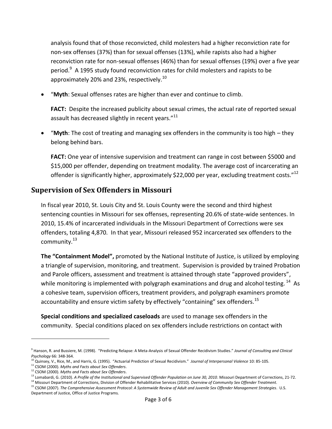analysis found that of those reconvicted, child molesters had a higher reconviction rate for non-sex offenses (37%) than for sexual offenses (13%), while rapists also had a higher reconviction rate for non-sexual offenses (46%) than for sexual offenses (19%) over a five year period.<sup>9</sup> A 1995 study found reconviction rates for child molesters and rapists to be approximately 20% and 23%, respectively.<sup>10</sup>

"**Myth**: Sexual offenses rates are higher than ever and continue to climb.

FACT: Despite the increased publicity about sexual crimes, the actual rate of reported sexual assault has decreased slightly in recent years."<sup>11</sup>

 "**Myth**: The cost of treating and managing sex offenders in the community is too high – they belong behind bars.

**FACT:** One year of intensive supervision and treatment can range in cost between \$5000 and \$15,000 per offender, depending on treatment modality. The average cost of incarcerating an offender is significantly higher, approximately \$22,000 per year, excluding treatment costs."<sup>12</sup>

#### **Supervision of Sex Offenders in Missouri**

In fiscal year 2010, St. Louis City and St. Louis County were the second and third highest sentencing counties in Missouri for sex offenses, representing 20.6% of state-wide sentences. In 2010, 15.4% of incarcerated individuals in the Missouri Department of Corrections were sex offenders, totaling 4,870. In that year, Missouri released 952 incarcerated sex offenders to the community.<sup>13</sup>

**The "Containment Model",** promoted by the National Institute of Justice, is utilized by employing a triangle of supervision, monitoring, and treatment. Supervision is provided by trained Probation and Parole officers, assessment and treatment is attained through state "approved providers", while monitoring is implemented with polygraph examinations and drug and alcohol testing. <sup>14</sup> As a cohesive team, supervision officers, treatment providers, and polygraph examiners promote accountability and ensure victim safety by effectively "containing" sex offenders.<sup>15</sup>

**Special conditions and specialized caseloads** are used to manage sex offenders in the community. Special conditions placed on sex offenders include restrictions on contact with

 $\overline{a}$ 

<sup>9</sup> Hanson, R. and Bussiere, M. (1998). "Predicting Relapse: A Meta-Analysis of Sexual Offender Recidivism Studies." *Journal of Consulting and Clinical Psychology* 66: 348-364.

<sup>10</sup> Quinsey, V., Rice, M., and Harris, G. (1995). "Actuarial Prediction of Sexual Recidivism." *Journal of Interpersonal Violence* 10: 85-105.

<sup>11</sup> CSOM (2000). *Myths and Facts about Sex Offenders*.

<sup>12</sup> CSOM (2000). *Myths and Facts about Sex Offenders*.

<sup>&</sup>lt;sup>13</sup> Lomabardi, G. (2010). A Profile of the Institutional and Supervised Offender Population on June 30, 2010. Missouri Department of Corrections, 21-72.

<sup>14</sup> Missouri Department of Corrections, Division of Offender Rehabilitative Services (2010). *Overview of Community Sex Offender Treatment*. <sup>15</sup> CSOM (2007). *The Comprehensive Assessment Protocol: A Systemwide Review of Adult and Juvenile Sex Offender Management Strategies*. U.S.

Department of Justice, Office of Justice Programs.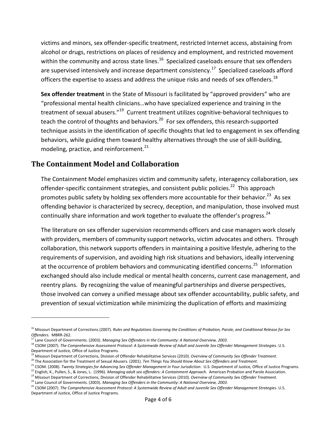victims and minors, sex offender-specific treatment, restricted Internet access, abstaining from alcohol or drugs, restrictions on places of residency and employment, and restricted movement within the community and across state lines. $^{16}$  Specialized caseloads ensure that sex offenders are supervised intensively and increase department consistency.<sup>17</sup> Specialized caseloads afford officers the expertise to assess and address the unique risks and needs of sex offenders.<sup>18</sup>

**Sex offender treatment** in the State of Missouri is facilitated by "approved providers" who are "professional mental health clinicians…who have specialized experience and training in the treatment of sexual abusers."<sup>19</sup> Current treatment utilizes cognitive-behavioral techniques to teach the control of thoughts and behaviors.<sup>20</sup> For sex offenders, this research-supported technique assists in the identification of specific thoughts that led to engagement in sex offending behaviors, while guiding them toward healthy alternatives through the use of skill-building, modeling, practice, and reinforcement.<sup>21</sup>

#### **The Containment Model and Collaboration**

The Containment Model emphasizes victim and community safety, interagency collaboration, sex offender-specific containment strategies, and consistent public policies.<sup>22</sup> This approach promotes public safety by holding sex offenders more accountable for their behavior.<sup>23</sup> As sex offending behavior is characterized by secrecy, deception, and manipulation, those involved must continually share information and work together to evaluate the offender's progress.<sup>24</sup>

The literature on sex offender supervision recommends officers and case managers work closely with providers, members of community support networks, victim advocates and others. Through collaboration, this network supports offenders in maintaining a positive lifestyle, adhering to the requirements of supervision, and avoiding high risk situations and behaviors, ideally intervening at the occurrence of problem behaviors and communicating identified concerns.<sup>25</sup> Information exchanged should also include medical or mental health concerns, current case management, and reentry plans. By recognizing the value of meaningful partnerships and diverse perspectives, those involved can convey a unified message about sex offender accountability, public safety, and prevention of sexual victimization while minimizing the duplication of efforts and maximizing

 $\ddot{\phantom{a}}$ 

<sup>&</sup>lt;sup>16</sup> Missouri Department of Corrections (2007). Rules and Regulations Governing the Conditions of Probation, Parole, and Conditional Release for Sex *Offenders.* MBRR-262.

<sup>17</sup> Lane Council of Governments. (2003). *Managing Sex Offenders in the Community: A National Overview, 2003*.

<sup>18</sup> CSOM (2007). *The Comprehensive Assessment Protocol: A Systemwide Review of Adult and Juvenile Sex Offender Management Strategies*. U.S. Department of Justice, Office of Justice Programs.

<sup>19</sup> Missouri Department of Corrections, Division of Offender Rehabilitative Services (2010). *Overview of Community Sex Offender Treatment*.

<sup>20</sup> The Association for the Treatment of Sexual Abusers. (2001). *Ten Things You Should Know About Sex Offenders and Treatment*.

<sup>&</sup>lt;sup>21</sup> CSOM. (2008). *Twenty Strategies for Advancing Sex Offender Management in Your Jurisdiction*. U.S. Department of Justice, Office of Justice Programs.

<sup>22</sup> English, K., Pullen, S., & Jones, L. (1996). *Managing adult sex offenders: A Containment Approach.* American Probation and Parole Association. <sup>23</sup> Missouri Department of Corrections, Division of Offender Rehabilitative Services (2010). *Overview of Community Sex Offender Treatment*.

<sup>24</sup> Lane Council of Governments. (2003). *Managing Sex Offenders in the Community: A National Overview, 2003*.

<sup>25</sup> CSOM (2007). *The Comprehensive Assessment Protocol: A Systemwide Review of Adult and Juvenile Sex Offender Management Strategies*. U.S. Department of Justice, Office of Justice Programs.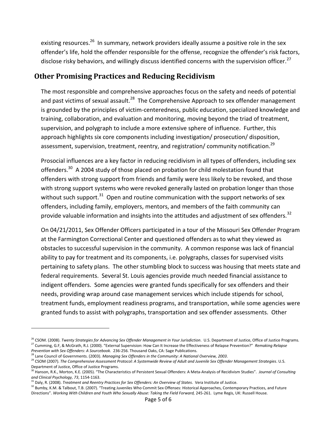existing resources.<sup>26</sup> In summary, network providers ideally assume a positive role in the sex offender's life, hold the offender responsible for the offense, recognize the offender's risk factors, disclose risky behaviors, and willingly discuss identified concerns with the supervision officer.<sup>27</sup>

#### **Other Promising Practices and Reducing Recidivism**

The most responsible and comprehensive approaches focus on the safety and needs of potential and past victims of sexual assault.<sup>28</sup> The Comprehensive Approach to sex offender management is grounded by the principles of victim-centeredness, public education, specialized knowledge and training, collaboration, and evaluation and monitoring, moving beyond the triad of treatment, supervision, and polygraph to include a more extensive sphere of influence. Further, this approach highlights six core components including investigation/ prosecution/ disposition, assessment, supervision, treatment, reentry, and registration/ community notification.<sup>29</sup>

Prosocial influences are a key factor in reducing recidivism in all types of offenders, including sex offenders.<sup>30</sup> A 2004 study of those placed on probation for child molestation found that offenders with strong support from friends and family were less likely to be revoked, and those with strong support systems who were revoked generally lasted on probation longer than those without such support.<sup>31</sup> Open and routine communication with the support networks of sex offenders, including family, employers, mentors, and members of the faith community can provide valuable information and insights into the attitudes and adjustment of sex offenders.<sup>32</sup>

On 04/21/2011, Sex Offender Officers participated in a tour of the Missouri Sex Offender Program at the Farmington Correctional Center and questioned offenders as to what they viewed as obstacles to successful supervision in the community. A common response was lack of financial ability to pay for treatment and its components, i.e. polygraphs, classes for supervised visits pertaining to safety plans. The other stumbling block to success was housing that meets state and federal requirements. Several St. Louis agencies provide much needed financial assistance to indigent offenders. Some agencies were granted funds specifically for sex offenders and their needs, providing wrap around case management services which include stipends for school, treatment funds, employment readiness programs, and transportation, while some agencies were granted funds to assist with polygraphs, transportation and sex offender assessments. Other

 $\overline{a}$ 

<sup>&</sup>lt;sup>26</sup> CSOM. (2008). Twenty Strategies for Advancing Sex Offender Management in Your Jurisdiction. U.S. Department of Justice, Office of Justice Programs. <sup>27</sup> Cumming, G.F, & McGrath, R.J. (2000). "External Supervision: How Can It Increase the Effectiveness of Relapse Prevention?" *Remaking Relapse* 

*Prevention with Sex Offenders: A Sourcebook.* 236-256. Thousand Oaks, CA: Sage Publications.

<sup>28</sup> Lane Council of Governments. (2003). *Managing Sex Offenders in the Community: A National Overview, 2003*.

<sup>29</sup> CSOM (2007). *The Comprehensive Assessment Protocol: A Systemwide Review of Adult and Juvenile Sex Offender Management Strategies*. U.S. Department of Justice, Office of Justice Programs.

<sup>30</sup> Hanson, R.K., Morton, K.E. (2005). "The Characteristics of Persistent Sexual Offenders: A Meta-Analysis of Recidivism Studies". *Journal of Consulting and Clinical Psychology, 73*, 1154-1163.

<sup>31</sup> Daly, R. (2008). *Treatment and Reentry Practices for Sex Offenders: An Overview of States*. Vera Institute of Justice.

<sup>&</sup>lt;sup>32</sup> Bumby, K.M. & Talbout, T.B. (2007). "Treating Juveniles Who Commit Sex Offenses: Historical Approaches, Contemporary Practices, and Future Directions". *Working With Children and Youth Who Sexually Abuse: Taking the Field Forward,* 245-261. Lyme Regis, UK: Russell House.